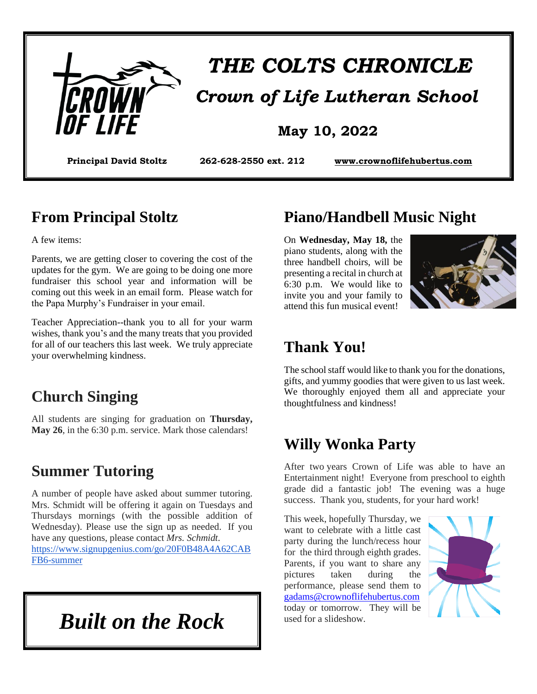

# *THE COLTS CHRONICLE Crown of Life Lutheran School*

#### **May 10, 2022**

**Principal David Stoltz 262-628-2550 ext. 212 [www.crownoflifehubertus.com](http://www.crownoflifehubertus.com/)**

#### **From Principal Stoltz**

A few items:

Parents, we are getting closer to covering the cost of the updates for the gym. We are going to be doing one more fundraiser this school year and information will be coming out this week in an email form. Please watch for the Papa Murphy's Fundraiser in your email.

Teacher Appreciation--thank you to all for your warm wishes, thank you's and the many treats that you provided for all of our teachers this last week. We truly appreciate your overwhelming kindness.

#### **Church Singing**

All students are singing for graduation on **Thursday, May 26**, in the 6:30 p.m. service. Mark those calendars!

#### **Summer Tutoring**

A number of people have asked about summer tutoring. Mrs. Schmidt will be offering it again on Tuesdays and Thursdays mornings (with the possible addition of Wednesday). Please use the sign up as needed. If you have any questions, please contact *Mrs. Schmidt.* [https://www.signupgenius.com/go/20F0B48A4A62CAB](https://www.signupgenius.com/go/20F0B48A4A62CABFB6-summer) [FB6-summer](https://www.signupgenius.com/go/20F0B48A4A62CABFB6-summer)

*Built on the Rock*

#### **Piano/Handbell Music Night**

On **Wednesday, May 18,** the piano students, along with the three handbell choirs, will be presenting a recital in church at 6:30 p.m. We would like to invite you and your family to attend this fun musical event!



#### **Thank You!**

The school staff would like to thank you for the donations, gifts, and yummy goodies that were given to us last week. We thoroughly enjoyed them all and appreciate your thoughtfulness and kindness!

#### **Willy Wonka Party**

After two years Crown of Life was able to have an Entertainment night! Everyone from preschool to eighth grade did a fantastic job! The evening was a huge success. Thank you, students, for your hard work!

This week, hopefully Thursday, we want to celebrate with a little cast party during the lunch/recess hour for the third through eighth grades. Parents, if you want to share any pictures taken during the performance, please send them to [gadams@crownoflifehubertus.com](mailto:gadams@crownoflifehubertus.com) today or tomorrow. They will be used for a slideshow.

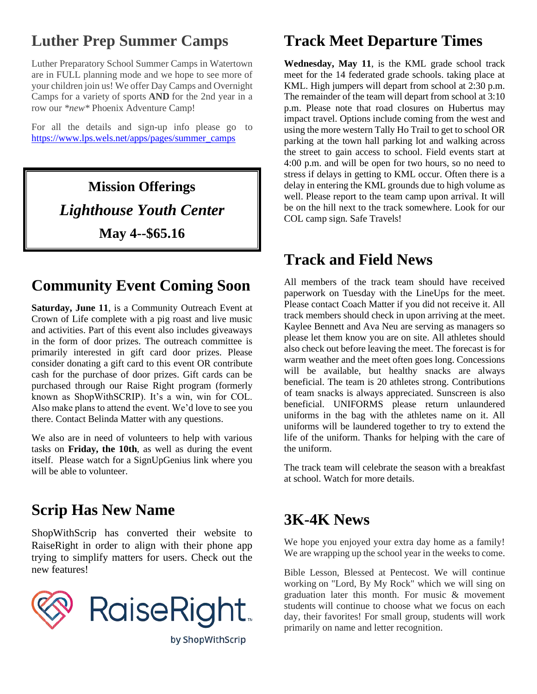# **Luther Prep Summer Camps**

Luther Preparatory School Summer Camps in Watertown are in FULL planning mode and we hope to see more of your children join us! We offer Day Camps and Overnight Camps for a variety of sports **AND** for the 2nd year in a row our *\*new\** Phoenix Adventure Camp!

For all the details and sign-up info please go to [https://www.lps.wels.net/apps/pages/summer\\_camps](https://www.lps.wels.net/apps/pages/summer_camps)

> **Mission Offerings** *Lighthouse Youth Center* **May 4--\$65.16**

# **Community Event Coming Soon**

**Saturday, June 11**, is a Community Outreach Event at Crown of Life complete with a pig roast and live music and activities. Part of this event also includes giveaways in the form of door prizes. The outreach committee is primarily interested in gift card door prizes. Please consider donating a gift card to this event OR contribute cash for the purchase of door prizes. Gift cards can be purchased through our Raise Right program (formerly known as ShopWithSCRIP). It's a win, win for COL. Also make plans to attend the event. We'd love to see you there. Contact Belinda Matter with any questions.

We also are in need of volunteers to help with various tasks on **Friday, the 10th**, as well as during the event itself. Please watch for a SignUpGenius link where you will be able to volunteer.

#### **Scrip Has New Name**

ShopWithScrip has converted their website to RaiseRight in order to align with their phone app trying to simplify matters for users. Check out the new features!



# **Track Meet Departure Times**

**Wednesday, May 11**, is the KML grade school track meet for the 14 federated grade schools. taking place at KML. High jumpers will depart from school at 2:30 p.m. The remainder of the team will depart from school at 3:10 p.m. Please note that road closures on Hubertus may impact travel. Options include coming from the west and using the more western Tally Ho Trail to get to school OR parking at the town hall parking lot and walking across the street to gain access to school. Field events start at 4:00 p.m. and will be open for two hours, so no need to stress if delays in getting to KML occur. Often there is a delay in entering the KML grounds due to high volume as well. Please report to the team camp upon arrival. It will be on the hill next to the track somewhere. Look for our COL camp sign. Safe Travels!

#### **Track and Field News**

All members of the track team should have received paperwork on Tuesday with the LineUps for the meet. Please contact Coach Matter if you did not receive it. All track members should check in upon arriving at the meet. Kaylee Bennett and Ava Neu are serving as managers so please let them know you are on site. All athletes should also check out before leaving the meet. The forecast is for warm weather and the meet often goes long. Concessions will be available, but healthy snacks are always beneficial. The team is 20 athletes strong. Contributions of team snacks is always appreciated. Sunscreen is also beneficial. UNIFORMS please return unlaundered uniforms in the bag with the athletes name on it. All uniforms will be laundered together to try to extend the life of the uniform. Thanks for helping with the care of the uniform.

The track team will celebrate the season with a breakfast at school. Watch for more details.

#### **3K-4K News**

We hope you enjoyed your extra day home as a family! We are wrapping up the school year in the weeks to come.

Bible Lesson, Blessed at Pentecost. We will continue working on "Lord, By My Rock" which we will sing on graduation later this month. For music & movement students will continue to choose what we focus on each day, their favorites! For small group, students will work primarily on name and letter recognition.